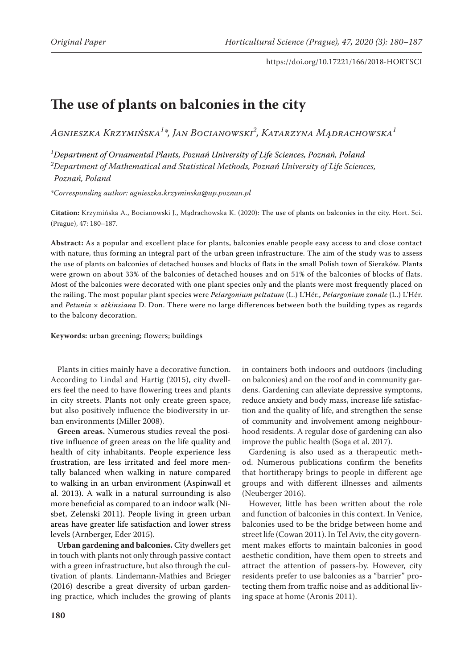# **The use of plants on balconies in the city**

*Agnieszka Krzymińska<sup>1</sup> \*, Jan Bocianowski2 , Katarzyna Mądrachowska<sup>1</sup>*

*1 Department of Ornamental Plants, Poznań University of Life Sciences, Poznań, Poland 2 Department of Mathematical and Statistical Methods, Poznań University of Life Sciences, Poznań, Poland*

*\*Corresponding author: agnieszka.krzyminska@up.poznan.pl*

**Citation:** Krzymińska A., Bocianowski J., Mądrachowska K. (2020): The use of plants on balconies in the city. Hort. Sci. (Prague), 47: 180–187.

**Abstract:** As a popular and excellent place for plants, balconies enable people easy access to and close contact with nature, thus forming an integral part of the urban green infrastructure. The aim of the study was to assess the use of plants on balconies of detached houses and blocks of flats in the small Polish town of Sieraków. Plants were grown on about 33% of the balconies of detached houses and on 51% of the balconies of blocks of flats. Most of the balconies were decorated with one plant species only and the plants were most frequently placed on the railing. The most popular plant species were *Pelargonium peltatum* (L.) L'Hér., *Pelargonium zonale* (L.) L'Hér. and *Petunia* × *atkinsiana* D. Don. There were no large differences between both the building types as regards to the balcony decoration.

**Keywords:** urban greening; flowers; buildings

Plants in cities mainly have a decorative function. According to Lindal and Hartig (2015), city dwellers feel the need to have flowering trees and plants in city streets. Plants not only create green space, but also positively influence the biodiversity in urban environments (Miller 2008).

**Green areas.** Numerous studies reveal the positive influence of green areas on the life quality and health of city inhabitants. People experience less frustration, are less irritated and feel more mentally balanced when walking in nature compared to walking in an urban environment (Aspinwall et al. 2013). A walk in a natural surrounding is also more beneficial as compared to an indoor walk (Nisbet, Zelenski 2011). People living in green urban areas have greater life satisfaction and lower stress levels (Arnberger, Eder 2015).

**Urban gardening and balconies.** City dwellers get in touch with plants not only through passive contact with a green infrastructure, but also through the cultivation of plants. Lindemann-Mathies and Brieger (2016) describe a great diversity of urban gardening practice, which includes the growing of plants in containers both indoors and outdoors (including on balconies) and on the roof and in community gardens. Gardening can alleviate depressive symptoms, reduce anxiety and body mass, increase life satisfaction and the quality of life, and strengthen the sense of community and involvement among neighbourhood residents. A regular dose of gardening can also improve the public health (Soga et al. 2017).

Gardening is also used as a therapeutic method. Numerous publications confirm the benefits that hortitherapy brings to people in different age groups and with different illnesses and ailments (Neuberger 2016).

However, little has been written about the role and function of balconies in this context. In Venice, balconies used to be the bridge between home and street life (Cowan 2011). In Tel Aviv, the city government makes efforts to maintain balconies in good aesthetic condition, have them open to streets and attract the attention of passers-by. However, city residents prefer to use balconies as a "barrier" protecting them from traffic noise and as additional living space at home (Aronis 2011).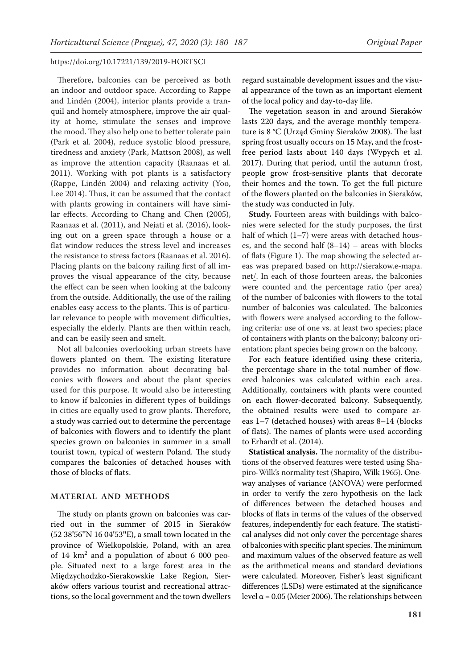Therefore, balconies can be perceived as both an indoor and outdoor space. According to Rappe and Lindén (2004), interior plants provide a tranquil and homely atmosphere, improve the air quality at home, stimulate the senses and improve the mood. They also help one to better tolerate pain (Park et al. 2004), reduce systolic blood pressure, tiredness and anxiety (Park, Mattson 2008), as well as improve the attention capacity (Raanaas et al. 2011). Working with pot plants is a satisfactory (Rappe, Lindén 2004) and relaxing activity (Yoo, Lee 2014). Thus, it can be assumed that the contact with plants growing in containers will have similar effects. According to Chang and Chen (2005), Raanaas et al. (2011), and Nejati et al. (2016), looking out on a green space through a house or a flat window reduces the stress level and increases the resistance to stress factors (Raanaas et al. 2016). Placing plants on the balcony railing first of all improves the visual appearance of the city, because the effect can be seen when looking at the balcony from the outside. Additionally, the use of the railing enables easy access to the plants. This is of particular relevance to people with movement difficulties, especially the elderly. Plants are then within reach, and can be easily seen and smelt.

Not all balconies overlooking urban streets have flowers planted on them. The existing literature provides no information about decorating balconies with flowers and about the plant species used for this purpose. It would also be interesting to know if balconies in different types of buildings in cities are equally used to grow plants. Therefore, a study was carried out to determine the percentage of balconies with flowers and to identify the plant species grown on balconies in summer in a small tourist town, typical of western Poland. The study compares the balconies of detached houses with those of blocks of flats.

#### **MATERIAL AND METHODS**

The study on plants grown on balconies was carried out in the summer of 2015 in Sieraków (52 38**'**56**''**N 16 04**'**53**''**E), a small town located in the province of Wielkopolskie, Poland, with an area of  $14 \text{ km}^2$  and a population of about 6 000 people. Situated next to a large forest area in the Międzychodzko-Sierakowskie Lake Region, Sieraków offers various tourist and recreational attractions, so the local government and the town dwellers

regard sustainable development issues and the visual appearance of the town as an important element of the local policy and day-to-day life.

The vegetation season in and around Sieraków lasts 220 days, and the average monthly temperature is 8 °C (Urząd Gminy Sieraków 2008). The last spring frost usually occurs on 15 May, and the frostfree period lasts about 140 days (Wypych et al. 2017). During that period, until the autumn frost, people grow frost-sensitive plants that decorate their homes and the town. To get the full picture of the flowers planted on the balconies in Sieraków, the study was conducted in July.

**Study.** Fourteen areas with buildings with balconies were selected for the study purposes, the first half of which (1–7) were areas with detached houses, and the second half  $(8-14)$  – areas with blocks of flats (Figure 1). The map showing the selected areas was prepared based on http://sierakow.e-mapa. net/. In each of those fourteen areas, the balconies were counted and the percentage ratio (per area) of the number of balconies with flowers to the total number of balconies was calculated. The balconies with flowers were analysed according to the following criteria: use of one vs. at least two species; place of containers with plants on the balcony; balcony orientation; plant species being grown on the balcony.

For each feature identified using these criteria, the percentage share in the total number of flowered balconies was calculated within each area. Additionally, containers with plants were counted on each flower-decorated balcony. Subsequently, the obtained results were used to compare areas 1–7 (detached houses) with areas 8–14 (blocks of flats). The names of plants were used according to Erhardt et al. (2014).

**Statistical analysis.** The normality of the distributions of the observed features were tested using Shapiro-Wilk's normality test (Shapiro, Wilk 1965). Oneway analyses of variance (ANOVA) were performed in order to verify the zero hypothesis on the lack of differences between the detached houses and blocks of flats in terms of the values of the observed features, independently for each feature. The statistical analyses did not only cover the percentage shares of balconies with specific plant species. The minimum and maximum values of the observed feature as well as the arithmetical means and standard deviations were calculated. Moreover, Fisher's least significant differences (LSDs) were estimated at the significance level  $α = 0.05$  (Meier 2006). The relationships between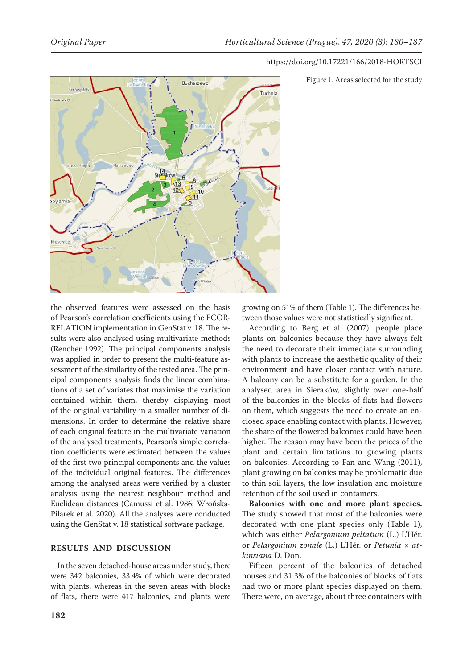

Figure 1. Areas selected for the study

the observed features were assessed on the basis of Pearson's correlation coefficients using the FCOR-RELATION implementation in GenStat v. 18. The results were also analysed using multivariate methods (Rencher 1992). The principal components analysis was applied in order to present the multi-feature assessment of the similarity of the tested area. The principal components analysis finds the linear combinations of a set of variates that maximise the variation contained within them, thereby displaying most of the original variability in a smaller number of dimensions. In order to determine the relative share of each original feature in the multivariate variation of the analysed treatments, Pearson's simple correlation coefficients were estimated between the values of the first two principal components and the values of the individual original features. The differences among the analysed areas were verified by a cluster analysis using the nearest neighbour method and Euclidean distances (Camussi et al. 1986; Wrońska-Pilarek et al. 2020). All the analyses were conducted using the GenStat v. 18 statistical software package.

## **RESULTS AND DISCUSSION**

In the seven detached-house areas under study, there were 342 balconies, 33.4% of which were decorated with plants, whereas in the seven areas with blocks of flats, there were 417 balconies, and plants were growing on 51% of them (Table 1). The differences between those values were not statistically significant.

According to Berg et al. (2007), people place plants on balconies because they have always felt the need to decorate their immediate surrounding with plants to increase the aesthetic quality of their environment and have closer contact with nature. A balcony can be a substitute for a garden. In the analysed area in Sieraków, slightly over one-half of the balconies in the blocks of flats had flowers on them, which suggests the need to create an enclosed space enabling contact with plants. However, the share of the flowered balconies could have been higher. The reason may have been the prices of the plant and certain limitations to growing plants on balconies. According to Fan and Wang (2011), plant growing on balconies may be problematic due to thin soil layers, the low insulation and moisture retention of the soil used in containers.

**Balconies with one and more plant species.**  The study showed that most of the balconies were decorated with one plant species only (Table 1), which was either *Pelargonium peltatum* (L.) L'Hér. or *Pelargonium zonale* (L.) L'Hér. or *Petunia* × *atkinsiana* D. Don.

Fifteen percent of the balconies of detached houses and 31.3% of the balconies of blocks of flats had two or more plant species displayed on them. There were, on average, about three containers with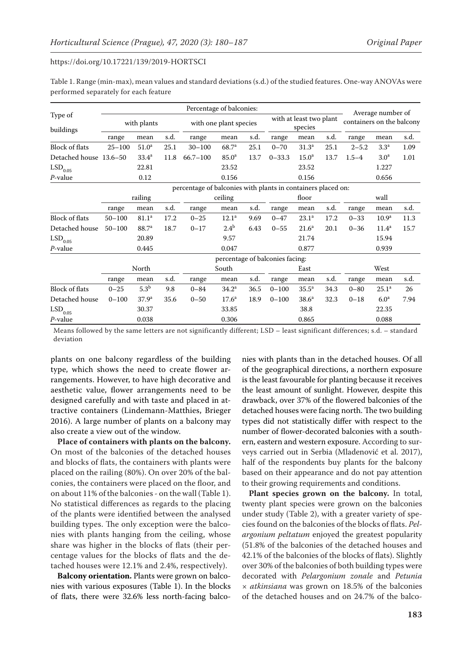| Table 1. Range (min-max), mean values and standard deviations (s.d.) of the studied features. One-way ANOVAs were |  |
|-------------------------------------------------------------------------------------------------------------------|--|
| performed separately for each feature                                                                             |  |

|                        | Percentage of balconies:                                     |                                 |       |                        |                   |      |                                    |                     |      |                                                |                   |      |  |  |  |
|------------------------|--------------------------------------------------------------|---------------------------------|-------|------------------------|-------------------|------|------------------------------------|---------------------|------|------------------------------------------------|-------------------|------|--|--|--|
| Type of<br>buildings   | with plants                                                  |                                 |       | with one plant species |                   |      | with at least two plant<br>species |                     |      | Average number of<br>containers on the balcony |                   |      |  |  |  |
|                        | range                                                        | mean                            | s.d.  | range                  | mean              | s.d. | range                              | mean                | s.d. | range                                          | mean              | s.d. |  |  |  |
| <b>Block of flats</b>  | $25 - 100$                                                   | 51.0 <sup>a</sup>               | 25.1  | $30 - 100$             | 68.7 <sup>a</sup> | 25.1 | $0 - 70$                           | 31.3 <sup>a</sup>   | 25.1 | $2 - 5.2$                                      | 3.3 <sup>a</sup>  | 1.09 |  |  |  |
| Detached house 13.6-50 |                                                              | 33.4 <sup>a</sup>               | 11.8  | $66.7 - 100$           | 85.0 <sup>a</sup> | 13.7 | $0 - 33.3$                         | 15.0 <sup>a</sup>   | 13.7 | $1.5 - 4$                                      | 3.0 <sup>a</sup>  | 1.01 |  |  |  |
| $\mathrm{LSD}_{0.05}$  |                                                              | 22.81                           |       |                        | 23.52             |      |                                    | 23.52               |      |                                                | 1.227             |      |  |  |  |
| P-value                |                                                              | 0.12                            |       |                        | 0.156             |      |                                    | 0.156               |      |                                                | 0.656             |      |  |  |  |
|                        | percentage of balconies with plants in containers placed on: |                                 |       |                        |                   |      |                                    |                     |      |                                                |                   |      |  |  |  |
|                        | railing                                                      |                                 |       | ceiling                |                   |      | floor                              |                     |      | wall                                           |                   |      |  |  |  |
|                        | range                                                        | mean                            | s.d.  | range                  | mean              | s.d. | range                              | mean                | s.d. | range                                          | mean              | s.d. |  |  |  |
| <b>Block of flats</b>  | $50 - 100$                                                   | 81.1 <sup>a</sup>               | 17.2  | $0 - 25$               | 12.1 <sup>a</sup> | 9.69 | $0 - 47$                           | 23.1 <sup>a</sup>   | 17.2 | $0 - 33$                                       | 10.9 <sup>a</sup> | 11.3 |  |  |  |
| Detached house         | $50 - 100$                                                   | 88.7 <sup>a</sup>               | 18.7  | $0 - 17$               | 2.4 <sup>b</sup>  | 6.43 | $0 - 55$                           | $21.6^a$            | 20.1 | $0 - 36$                                       | $11.4^{\rm a}$    | 15.7 |  |  |  |
| $\mathrm{LSD}_{0.05}$  |                                                              | 20.89                           |       |                        | 9.57              |      |                                    | 21.74               |      |                                                | 15.94             |      |  |  |  |
| P-value                |                                                              | 0.445                           |       |                        | 0.047             |      |                                    | 0.877               |      |                                                | 0.939             |      |  |  |  |
|                        |                                                              | percentage of balconies facing: |       |                        |                   |      |                                    |                     |      |                                                |                   |      |  |  |  |
| North                  |                                                              |                                 | South |                        |                   | East |                                    |                     | West |                                                |                   |      |  |  |  |
|                        | range                                                        | mean                            | s.d.  | range                  | mean              | s.d. | range                              | mean                | s.d. | range                                          | mean              | s.d. |  |  |  |
| <b>Block of flats</b>  | $0 - 25$                                                     | 5.3 <sup>b</sup>                | 9.8   | $0 - 84$               | 34.2 <sup>a</sup> | 36.5 | $0 - 100$                          | $35.5^{\mathrm{a}}$ | 34.3 | $0 - 80$                                       | $25.1^{\circ}$    | 26   |  |  |  |
| Detached house         | $0 - 100$                                                    | 37.9 <sup>a</sup>               | 35.6  | $0 - 50$               | $17.6^{\rm a}$    | 18.9 | $0 - 100$                          | 38.6 <sup>a</sup>   | 32.3 | $0 - 18$                                       | 6.0 <sup>a</sup>  | 7.94 |  |  |  |
| $\mathrm{LSD}_{0.05}$  |                                                              | 30.37                           |       |                        | 33.85             |      |                                    | 38.8                |      |                                                | 22.35             |      |  |  |  |
| P-value                |                                                              | 0.038                           |       |                        | 0.306             |      |                                    | 0.865               |      |                                                | 0.088             |      |  |  |  |

Means followed by the same letters are not significantly different; LSD – least significant differences; s.d. – standard deviation

plants on one balcony regardless of the building type, which shows the need to create flower arrangements. However, to have high decorative and aesthetic value, flower arrangements need to be designed carefully and with taste and placed in attractive containers (Lindemann-Matthies, Brieger 2016). A large number of plants on a balcony may also create a view out of the window.

**Place of containers with plants on the balcony.**  On most of the balconies of the detached houses and blocks of flats, the containers with plants were placed on the railing (80%). On over 20% of the balconies, the containers were placed on the floor, and on about 11% of the balconies - on the wall (Table 1). No statistical differences as regards to the placing of the plants were identified between the analysed building types. The only exception were the balconies with plants hanging from the ceiling, whose share was higher in the blocks of flats (their percentage values for the blocks of flats and the detached houses were 12.1% and 2.4%, respectively).

**Balcony orientation.** Plants were grown on balconies with various exposures (Table 1). In the blocks of flats, there were 32.6% less north-facing balco-

nies with plants than in the detached houses. Of all of the geographical directions, a northern exposure is the least favourable for planting because it receives the least amount of sunlight. However, despite this drawback, over 37% of the flowered balconies of the detached houses were facing north. The two building types did not statistically differ with respect to the number of flower-decorated balconies with a southern, eastern and western exposure. According to surveys carried out in Serbia (Mladenović et al. 2017), half of the respondents buy plants for the balcony based on their appearance and do not pay attention to their growing requirements and conditions.

**Plant species grown on the balcony.** In total, twenty plant species were grown on the balconies under study (Table 2), with a greater variety of species found on the balconies of the blocks of flats. *Pelargonium peltatum* enjoyed the greatest popularity (51.8% of the balconies of the detached houses and 42.1% of the balconies of the blocks of flats). Slightly over 30% of the balconies of both building types were decorated with *Pelargonium zonale* and *Petunia × atkinsiana* was grown on 18.5% of the balconies of the detached houses and on 24.7% of the balco-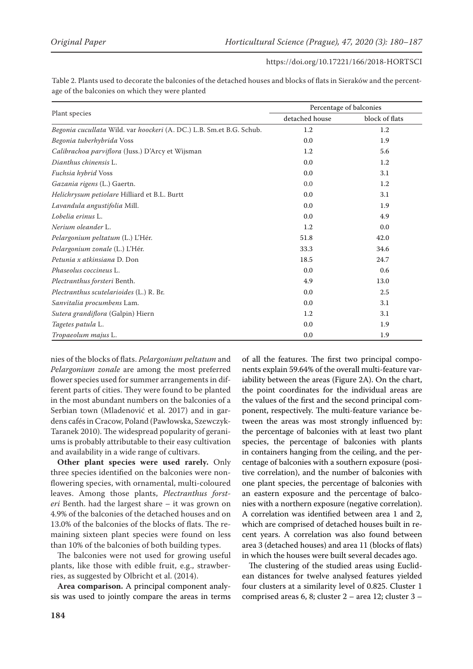| Table 2. Plants used to decorate the balconies of the detached houses and blocks of flats in Sieraków and the percent- |  |
|------------------------------------------------------------------------------------------------------------------------|--|
| age of the balconies on which they were planted                                                                        |  |

|                                                                      | Percentage of balconies |                |  |  |  |
|----------------------------------------------------------------------|-------------------------|----------------|--|--|--|
| Plant species                                                        | detached house          | block of flats |  |  |  |
| Begonia cucullata Wild. var hoockeri (A. DC.) L.B. Sm.et B.G. Schub. | 1.2                     | 1.2            |  |  |  |
| Begonia tuberhybrida Voss                                            | 0.0                     | 1.9            |  |  |  |
| Calibrachoa parviflora (Juss.) D'Arcy et Wijsman                     | 1.2                     | 5.6            |  |  |  |
| Dianthus chinensis L.                                                | 0.0                     | 1.2            |  |  |  |
| Fuchsia hybrid Voss                                                  | 0.0                     | 3.1            |  |  |  |
| Gazania rigens (L.) Gaertn.                                          | 0.0                     | 1.2            |  |  |  |
| Helichrysum petiolare Hilliard et B.L. Burtt                         | 0.0                     | 3.1            |  |  |  |
| Lavandula angustifolia Mill.                                         | 0.0                     | 1.9            |  |  |  |
| Lobelia erinus L.                                                    | 0.0                     | 4.9            |  |  |  |
| Nerium oleander L.                                                   | 1.2                     | 0.0            |  |  |  |
| Pelargonium peltatum (L.) L'Hér.                                     | 51.8                    | 42.0           |  |  |  |
| Pelargonium zonale (L.) L'Hér.                                       | 33.3                    | 34.6           |  |  |  |
| Petunia x atkinsiana D. Don                                          | 18.5                    | 24.7           |  |  |  |
| Phaseolus coccineus L.                                               | 0.0                     | 0.6            |  |  |  |
| Plectranthus forsteri Benth.                                         | 4.9                     | 13.0           |  |  |  |
| Plectranthus scutelarioides (L.) R. Br.                              | 0.0                     | 2.5            |  |  |  |
| Sanvitalia procumbens Lam.                                           | 0.0                     | 3.1            |  |  |  |
| Sutera grandiflora (Galpin) Hiern                                    | 1.2                     | 3.1            |  |  |  |
| Tagetes patula L.                                                    | 0.0                     | 1.9            |  |  |  |
| Tropaeolum majus L.                                                  | 0.0                     | 1.9            |  |  |  |

nies of the blocks of flats. *Pelargonium peltatum* and *Pelargonium zonale* are among the most preferred flower species used for summer arrangements in different parts of cities. They were found to be planted in the most abundant numbers on the balconies of a Serbian town (Mladenović et al. 2017) and in gardens cafés in Cracow, Poland (Pawłowska, Szewczyk-Taranek 2010). The widespread popularity of geraniums is probably attributable to their easy cultivation and availability in a wide range of cultivars.

**Other plant species were used rarely.** Only three species identified on the balconies were nonflowering species, with ornamental, multi-coloured leaves. Among those plants, *Plectranthus forsteri* Benth. had the largest share – it was grown on 4.9% of the balconies of the detached houses and on 13.0% of the balconies of the blocks of flats. The remaining sixteen plant species were found on less than 10% of the balconies of both building types.

The balconies were not used for growing useful plants, like those with edible fruit, e.g., strawberries, as suggested by Olbricht et al. (2014).

**Area comparison.** A principal component analysis was used to jointly compare the areas in terms

of all the features. The first two principal components explain 59.64% of the overall multi-feature variability between the areas (Figure 2A). On the chart, the point coordinates for the individual areas are the values of the first and the second principal component, respectively. The multi-feature variance between the areas was most strongly influenced by: the percentage of balconies with at least two plant species, the percentage of balconies with plants in containers hanging from the ceiling, and the percentage of balconies with a southern exposure (positive correlation), and the number of balconies with one plant species, the percentage of balconies with an eastern exposure and the percentage of balconies with a northern exposure (negative correlation). A correlation was identified between area 1 and 2, which are comprised of detached houses built in recent years. A correlation was also found between area 3 (detached houses) and area 11 (blocks of flats) in which the houses were built several decades ago.

The clustering of the studied areas using Euclidean distances for twelve analysed features yielded four clusters at a similarity level of 0.825. Cluster 1 comprised areas 6, 8; cluster 2 – area 12; cluster 3 –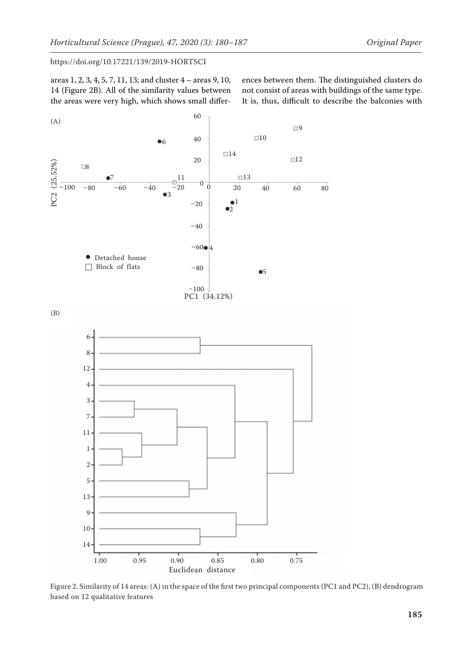areas 1, 2, 3, 4, 5, 7, 11, 13; and cluster 4 – areas 9, 10, 14 (Figure 2B). All of the similarity values between the areas were very high, which shows small differences between them. The distinguished clusters do not consist of areas with buildings of the same type. It is, thus, difficult to describe the balconies with



Figure 2. Similarity of 14 areas: (A) in the space of the first two principal components (PC1 and PC2), (B) dendrogram based on 12 qualitative features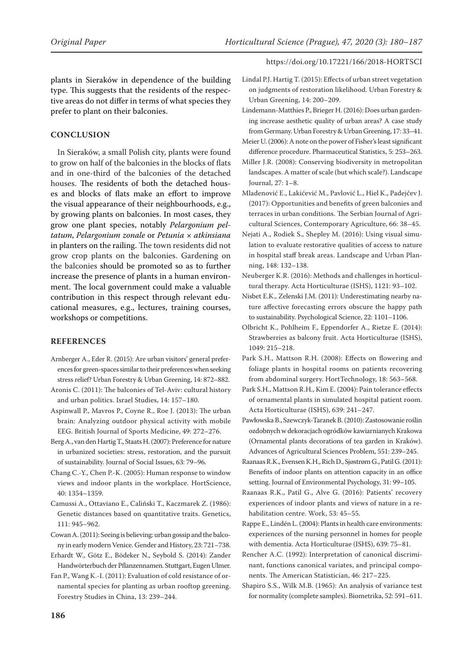plants in Sieraków in dependence of the building type. This suggests that the residents of the respective areas do not differ in terms of what species they prefer to plant on their balconies.

## **CONCLUSION**

In Sieraków, a small Polish city, plants were found to grow on half of the balconies in the blocks of flats and in one-third of the balconies of the detached houses. The residents of both the detached houses and blocks of flats make an effort to improve the visual appearance of their neighbourhoods, e.g., by growing plants on balconies. In most cases, they grow one plant species, notably *Pelargonium peltatum*, *Pelargonium zonale* or *Petunia* × *atkinsiana* in planters on the railing. The town residents did not grow crop plants on the balconies. Gardening on the balconies should be promoted so as to further increase the presence of plants in a human environment. The local government could make a valuable contribution in this respect through relevant educational measures, e.g., lectures, training courses, workshops or competitions.

#### **REFERENCES**

Arnberger A., Eder R. (2015): Are urban visitors' general preferences for green-spaces similar to their preferences when seeking stress relief? Urban Forestry & Urban Greening, 14: 872–882.

- Aronis C. (2011): The balconies of Tel-Aviv: cultural history and urban politics. Israel Studies, 14: 157–180.
- Aspinwall P., Mavros P., Coyne R., Roe J. (2013): The urban brain: Analyzing outdoor physical activity with mobile EEG. British Journal of Sports Medicine, 49: 272–276.
- Berg A., van den Hartig T., Staats H. (2007): Preference for nature in urbanized societies: stress, restoration, and the pursuit of sustainability. Journal of Social Issues, 63: 79–96.
- Chang C.-Y., Chen P.-K. (2005): Human response to window views and indoor plants in the workplace. HortScience, 40: 1354–1359.
- Camussi A., Ottaviano E., Caliński T., Kaczmarek Z. (1986): Genetic distances based on quantitative traits. Genetics, 111: 945–962.
- Cowan A. (2011): Seeing is believing: urban gossip and the balcony in early modern Venice. Gender and History, 23: 721–738.
- Erhardt W., Götz E., Bödeker N., Seybold S. (2014): Zander Handwörterbuch der Pflanzennamen. Stuttgart, Eugen Ulmer.
- Fan P., Wang K.-I. (2011): Evaluation of cold resistance of ornamental species for planting as urban rooftop greening. Forestry Studies in China, 13: 239–244.
- Lindal P.J. Hartig T. (2015): Effects of urban street vegetation on judgments of restoration likelihood. Urban Forestry & Urban Greening, 14: 200–209.
- Lindemann-Matthies P., Brieger H. (2016): Does urban gardening increase aesthetic quality of urban areas? A case study from Germany. Urban Forestry & Urban Greening, 17: 33–41.
- Meier U. (2006): A note on the power of Fisher's least significant difference procedure. Pharmaceutical Statistics, 5: 253–263.
- Miller J.R. (2008): Conserving biodiversity in metropolitan landscapes. A matter of scale (but which scale?). Landscape Journal, 27: 1–8.

Mladenović E., Lakićević M., Pavlović L., Hiel K., Padejčev J. (2017): Opportunities and benefits of green balconies and terraces in urban conditions. The Serbian Journal of Agricultural Sciences, Contemporary Agriculture, 66: 38–45.

- Nejati A., Rodiek S., Shepley M. (2016): Using visual simulation to evaluate restorative qualities of access to nature in hospital staff break areas. Landscape and Urban Planning, 148: 132–138.
- Neuberger K.R. (2016): Methods and challenges in horticultural therapy. Acta Horticulturae (ISHS), 1121: 93–102.
- Nisbet E.K., Zelenski J.M. (2011): Underestimating nearby nature affective forecasting errors obscure the happy path to sustainability. Psychological Science, 22: 1101–1106.
- Olbricht K., Pohlheim F., Eppendorfer A., Rietze E. (2014): Strawberries as balcony fruit. Acta Horticulturae (ISHS), 1049: 215–218.
- Park S.H., Mattson R.H. (2008): Effects on flowering and foliage plants in hospital rooms on patients recovering from abdominal surgery. HortTechnology, 18: 563–568.
- Park S.H., Mattson R.H., Kim E. (2004): Pain tolerance effects of ornamental plants in simulated hospital patient room. Acta Horticulturae (ISHS), 639: 241–247.
- Pawłowska B., Szewczyk-Taranek B. (2010): Zastosowanie roślin ozdobnych w dekoracjach ogródków kawiarnianych Krakowa (Ornamental plants decorations of tea garden in Kraków). Advances of Agricultural Sciences Problem, 551: 239–245.
- Raanaas R.K., Evensen K.H., Rich D., Sjøstrøm G., Patil G. (2011): Benefits of indoor plants on attention capacity in an office setting. Journal of Environmental Psychology, 31: 99–105.
- Raanaas R.K., Patil G., Alve G. (2016): Patients' recovery experiences of indoor plants and views of nature in a rehabilitation centre. Work, 53: 45–55.
- Rappe E., Lindén L. (2004): Plants in health care environments: experiences of the nursing personnel in homes for people with dementia. Acta Horticulturae (ISHS), 639: 75–81.
- Rencher A.C. (1992): Interpretation of canonical discriminant, functions canonical variates, and principal components. The American Statistician, 46: 217–225.
- Shapiro S.S., Wilk M.B. (1965): An analysis of variance test for normality (complete samples). Biometrika, 52: 591–611.